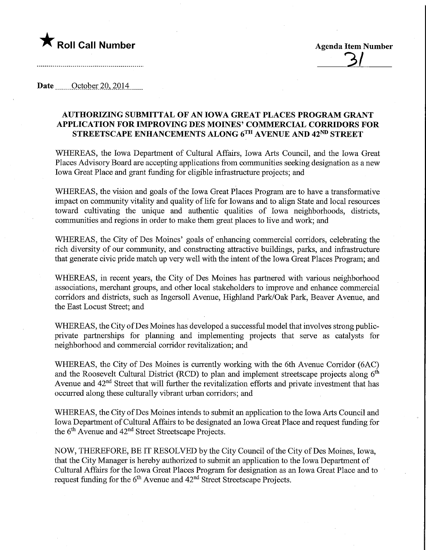## **The Call Number Agents Agenda Item Number** Agenda Item Number

 $\overline{3}$ 

Date \_\_\_\_QctQber 20,2014

## AUTHORIZING SUBMITTAL OF AN IOWA GREAT PLACES PROGRAM GRANT APPLICATION FOR IMPROVING DES MOmES' COMMERCIAL CORRIDORS FOR STREETSCAPE ENHANCEMENTS ALONG 6TH AVENUE AND 42ND STREET

WHEREAS, the Iowa Department of Cultural Affairs, Iowa Arts Council, and the Iowa Great Places Advisory Board are accepting applications from communities seeking designation as a new Iowa Great Place and grant funding for eligible infrastructure projects; and

WHEREAS, the vision and goals of the Iowa Great Places Program are to have a transformative impact on community vitality and quality of life for lowans and to align State and local resources toward cultivating the unique and authentic qualities of Iowa neighborhoods, districts, communities and regions in order to make them great places to live and work; and

WHEREAS, the City of Des Moines' goals of enhancing commercial corridors, celebrating the rich diversity of our community, and constructing attractive buildings, parks, and infrastructure that generate civic pride match up very well with the intent of the Iowa Great Places Program; and

WHEREAS, in recent years, the City of Des Moines has partnered with various neighborhood associations, merchant groups, and other local stakeholders to improve and enhance commercial corridors and districts, such as Ingersoll Avenue, Highland Park/Oak Park, Beaver Avenue, and the East Locust Street; and

WHEREAS, the City of Des Moines has developed a successful model that involves strong publicprivate partnerships for planning and implementing projects that serve as catalysts for neighborhood and commercial corridor revitalization; and

WHEREAS, the City of Des Moines is currently working with the 6th Avenue Corridor (6AC) and the Roosevelt Cultural District (RCD) to plan and implement streetscape projects along  $6<sup>th</sup>$ Avenue and 42<sup>nd</sup> Street that will further the revitalization efforts and private investment that has occurred along these culturally vibrant urban corridors; and

WHEREAS, the City of Des Moines intends to submit an application to the Iowa Arts Council and Iowa Department of Cultural Affairs to be designated an Iowa Great Place and request funding for the 6<sup>th</sup> Avenue and 42<sup>nd</sup> Street Streetscape Projects.

NOW, THEREFORE, BE IT RESOLVED by the City Council of the City ofDes Moines, Iowa, that the City Manager is hereby authorized to submit an application to the Iowa Department of Cultural Affairs for the Iowa Great Places Program for designation as an Iowa Great Place and to request funding for the  $6<sup>th</sup>$  Avenue and  $42<sup>nd</sup>$  Street Streetscape Projects.